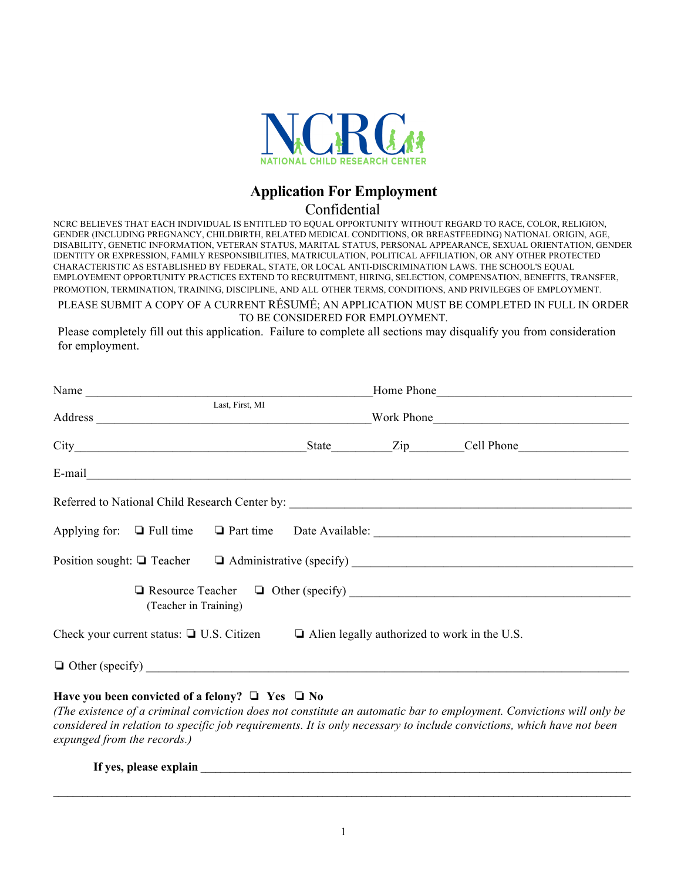

## **Application For Employment**

## Confidential

NCRC BELIEVES THAT EACH INDIVIDUAL IS ENTITLED TO EQUAL OPPORTUNITY WITHOUT REGARD TO RACE, COLOR, RELIGION,<br>GENDER (INCLUDING PREGNANCY, CHILDBIRTH, RELATED MEDICAL CONDITIONS, OR BREASTFEEDING) NATIONAL ORIGIN, AGE, OENDER (INCLODING PREGNANCT, CHILDBIRTH, RELATED MEDICAL CONDITIONS, OR BREASTFEEDING) NATIONAL ORIGIN, AGE,<br>DISABILITY, GENETIC INFORMATION, VETERAN STATUS, MARITAL STATUS, PERSONAL APPEARANCE, SEXUAL ORIENTATION, GENDER BASIS OF THEIR ABILITY AND JOB RELATED QUALIFICATIONS AND WITHOUT DISCRIMINATION BASED ON IDENTITY OR EXPRESSION, FAMILY RESPONSIBILITIES, MATRICULATION, POLITICAL AFFILIATION, OR ANY OTHER PROTECTED CHARACTERISTIC AS ESTABLISHED BY FEDERAL, STATE, OR LOCAL ANTI-DISCRIMINATION LAWS. THE SCHOOL'S EQUAL EMPLOYEMENT OPPORTUNITY PRACTICES EXTEND TO RECRUITMENT, HIRING, SELECTION, COMPENSATION, BENEFITS, TRANSFER, NCRC BELIEVES THAT EACH INDIVIDUAL IS ENTITLED TO EQUAL OPPORTUNITY WITHOUT REGARD TO RACE, COLOR, RELIGION, PROMOTION, TERMINATION, TRAINING, DISCIPLINE, AND ALL OTHER TERMS, CONDITIONS, AND PRIVILEGES OF EMPLOYMENT.

PLEASE SUBMIT A COPY OF A CURRENT RÉSUMÉ; AN APPLICATION MUST BE COMPLETED IN FULL IN ORDER TO BE CONSIDERED FOR EMPLOYMENT.

Please completely fill out this application. Failure to complete all sections may disqualify you from consideration for employment.

| Name                                                                                                                                                                                                                           |  |  | Home Phone |  |  |  |
|--------------------------------------------------------------------------------------------------------------------------------------------------------------------------------------------------------------------------------|--|--|------------|--|--|--|
| Last, First, MI                                                                                                                                                                                                                |  |  |            |  |  |  |
|                                                                                                                                                                                                                                |  |  |            |  |  |  |
| E-mail explorer and the contract of the contract of the contract of the contract of the contract of the contract of the contract of the contract of the contract of the contract of the contract of the contract of the contra |  |  |            |  |  |  |
| Referred to National Child Research Center by: __________________________________                                                                                                                                              |  |  |            |  |  |  |
| Applying for: $\Box$ Full time $\Box$ Part time Date Available:                                                                                                                                                                |  |  |            |  |  |  |
| Position sought: □ Teacher □ Administrative (specify) __________________________                                                                                                                                               |  |  |            |  |  |  |
| (Teacher in Training)                                                                                                                                                                                                          |  |  |            |  |  |  |
| Check your current status: $\Box$ U.S. Citizen $\Box$ Alien legally authorized to work in the U.S.                                                                                                                             |  |  |            |  |  |  |
|                                                                                                                                                                                                                                |  |  |            |  |  |  |

## **Have you been convicted of a felony?** ❏ **Yes** ❏ **No**

*(The existence of a criminal conviction does not constitute an automatic bar to employment. Convictions will only be considered in relation to specific job requirements. It is only necessary to include convictions, which have not been expunged from the records.)*

**If yes, please explain**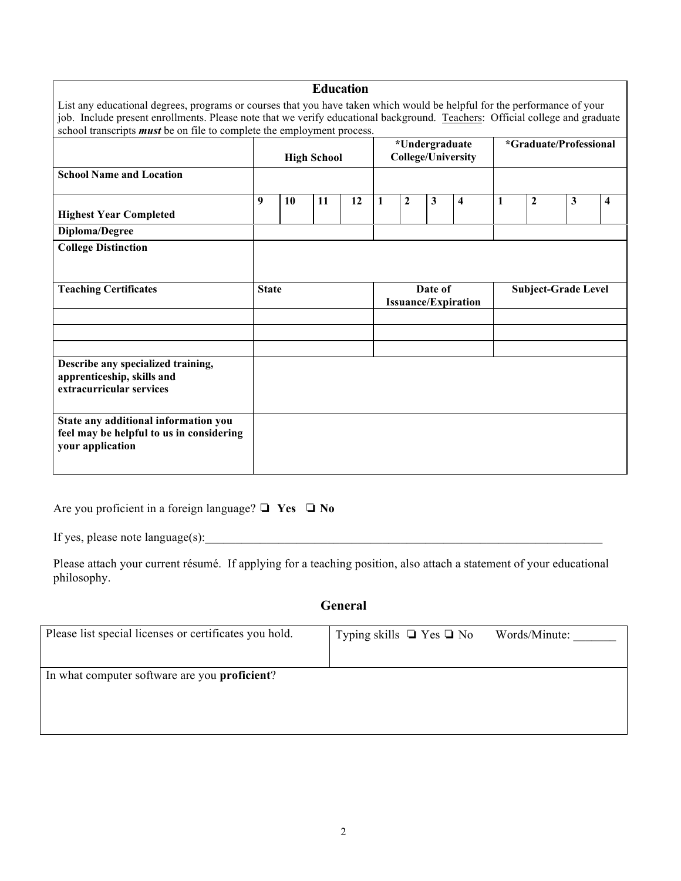|                                                                                                                                                                                                                                                                                                                                           |                    |    |                                       | <b>Education</b>                            |   |                            |                        |                         |   |                  |              |   |
|-------------------------------------------------------------------------------------------------------------------------------------------------------------------------------------------------------------------------------------------------------------------------------------------------------------------------------------------|--------------------|----|---------------------------------------|---------------------------------------------|---|----------------------------|------------------------|-------------------------|---|------------------|--------------|---|
| List any educational degrees, programs or courses that you have taken which would be helpful for the performance of your<br>job. Include present enrollments. Please note that we verify educational background. Teachers: Official college and graduate<br>school transcripts <i>must</i> be on file to complete the employment process. |                    |    |                                       |                                             |   |                            |                        |                         |   |                  |              |   |
|                                                                                                                                                                                                                                                                                                                                           | <b>High School</b> |    |                                       | *Undergraduate<br><b>College/University</b> |   |                            | *Graduate/Professional |                         |   |                  |              |   |
| <b>School Name and Location</b>                                                                                                                                                                                                                                                                                                           |                    |    |                                       |                                             |   |                            |                        |                         |   |                  |              |   |
| <b>Highest Year Completed</b>                                                                                                                                                                                                                                                                                                             | 9                  | 10 | 11                                    | 12                                          | 1 | $\mathbf{2}$               | $\mathbf{3}$           | $\overline{\mathbf{4}}$ | 1 | $\boldsymbol{2}$ | $\mathbf{3}$ | 4 |
| Diploma/Degree                                                                                                                                                                                                                                                                                                                            |                    |    |                                       |                                             |   |                            |                        |                         |   |                  |              |   |
| <b>College Distinction</b>                                                                                                                                                                                                                                                                                                                |                    |    |                                       |                                             |   |                            |                        |                         |   |                  |              |   |
| <b>Teaching Certificates</b>                                                                                                                                                                                                                                                                                                              | <b>State</b>       |    | Date of<br><b>Issuance/Expiration</b> |                                             |   | <b>Subject-Grade Level</b> |                        |                         |   |                  |              |   |
|                                                                                                                                                                                                                                                                                                                                           |                    |    |                                       |                                             |   |                            |                        |                         |   |                  |              |   |
| Describe any specialized training,<br>apprenticeship, skills and<br>extracurricular services                                                                                                                                                                                                                                              |                    |    |                                       |                                             |   |                            |                        |                         |   |                  |              |   |
| State any additional information you<br>feel may be helpful to us in considering<br>your application                                                                                                                                                                                                                                      |                    |    |                                       |                                             |   |                            |                        |                         |   |                  |              |   |

|  |  |  |  | Are you proficient in a foreign language? $\Box$ Yes $\Box$ No |  |  |  |
|--|--|--|--|----------------------------------------------------------------|--|--|--|
|--|--|--|--|----------------------------------------------------------------|--|--|--|

If yes, please note language(s):\_\_\_\_\_\_\_\_\_\_\_\_\_\_\_\_\_\_\_\_\_\_\_\_\_\_\_\_\_\_\_\_\_\_\_\_\_\_\_\_\_\_\_\_\_\_\_\_\_\_\_\_\_\_\_\_\_\_\_\_\_\_\_\_\_

Please attach your current résumé. If applying for a teaching position, also attach a statement of your educational philosophy.

**General**

| Please list special licenses or certificates you hold. | Typing skills $\Box$ Yes $\Box$ No | Words/Minute: |
|--------------------------------------------------------|------------------------------------|---------------|
| In what computer software are you <b>proficient</b> ?  |                                    |               |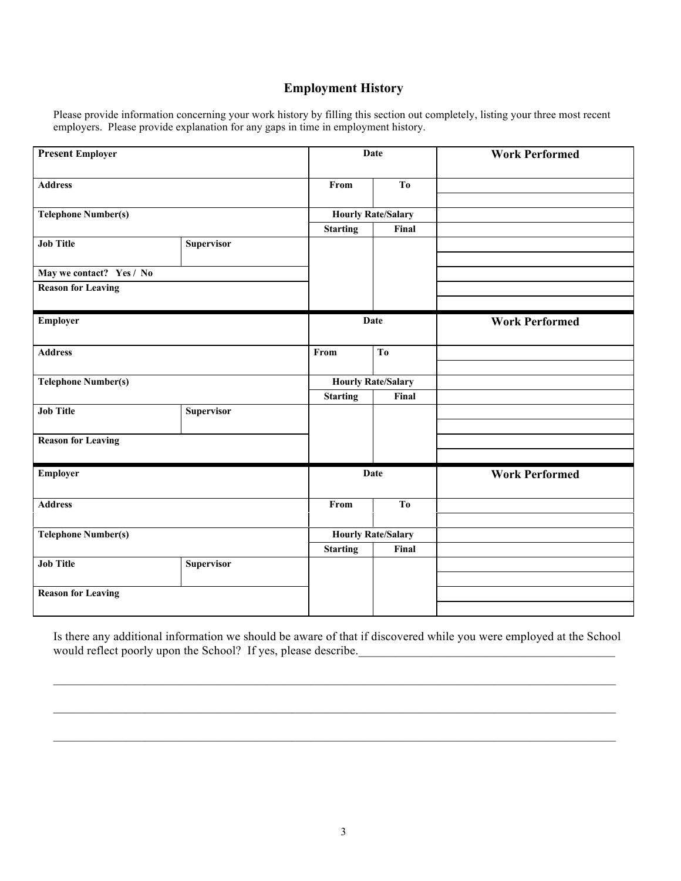## **Employment History**

Please provide information concerning your work history by filling this section out completely, listing your three most recent employers. Please provide explanation for any gaps in time in employment history.

| <b>Present Employer</b>    |                   |                 | Date                      | <b>Work Performed</b> |
|----------------------------|-------------------|-----------------|---------------------------|-----------------------|
| <b>Address</b>             |                   | From            | T <sub>0</sub>            |                       |
| <b>Telephone Number(s)</b> |                   |                 | <b>Hourly Rate/Salary</b> |                       |
|                            |                   | <b>Starting</b> | Final                     |                       |
| <b>Job Title</b>           | <b>Supervisor</b> |                 |                           |                       |
| May we contact? Yes / No   |                   |                 |                           |                       |
| <b>Reason for Leaving</b>  |                   |                 |                           |                       |
|                            |                   |                 |                           |                       |
| Employer                   |                   |                 | Date                      | <b>Work Performed</b> |
| <b>Address</b>             |                   | From            | T <sub>o</sub>            |                       |
|                            |                   |                 |                           |                       |
| <b>Telephone Number(s)</b> |                   |                 | <b>Hourly Rate/Salary</b> |                       |
|                            |                   | <b>Starting</b> | Final                     |                       |
| <b>Job Title</b>           | <b>Supervisor</b> |                 |                           |                       |
|                            |                   |                 |                           |                       |
| <b>Reason for Leaving</b>  |                   |                 |                           |                       |
|                            |                   |                 |                           |                       |
| Employer                   |                   |                 | Date                      | <b>Work Performed</b> |
| <b>Address</b>             |                   | From            | T <sub>0</sub>            |                       |
|                            |                   |                 |                           |                       |
| <b>Telephone Number(s)</b> |                   |                 | <b>Hourly Rate/Salary</b> |                       |
|                            |                   | <b>Starting</b> | Final                     |                       |
| <b>Job Title</b>           | <b>Supervisor</b> |                 |                           |                       |
| <b>Reason for Leaving</b>  |                   |                 |                           |                       |
|                            |                   |                 |                           |                       |

Is there any additional information we should be aware of that if discovered while you were employed at the School would reflect poorly upon the School? If yes, please describe.

 $\mathcal{L}_\mathcal{L} = \mathcal{L}_\mathcal{L} = \mathcal{L}_\mathcal{L} = \mathcal{L}_\mathcal{L} = \mathcal{L}_\mathcal{L} = \mathcal{L}_\mathcal{L} = \mathcal{L}_\mathcal{L} = \mathcal{L}_\mathcal{L} = \mathcal{L}_\mathcal{L} = \mathcal{L}_\mathcal{L} = \mathcal{L}_\mathcal{L} = \mathcal{L}_\mathcal{L} = \mathcal{L}_\mathcal{L} = \mathcal{L}_\mathcal{L} = \mathcal{L}_\mathcal{L} = \mathcal{L}_\mathcal{L} = \mathcal{L}_\mathcal{L}$ 

 $\mathcal{L}_\mathcal{L} = \mathcal{L}_\mathcal{L} = \mathcal{L}_\mathcal{L} = \mathcal{L}_\mathcal{L} = \mathcal{L}_\mathcal{L} = \mathcal{L}_\mathcal{L} = \mathcal{L}_\mathcal{L} = \mathcal{L}_\mathcal{L} = \mathcal{L}_\mathcal{L} = \mathcal{L}_\mathcal{L} = \mathcal{L}_\mathcal{L} = \mathcal{L}_\mathcal{L} = \mathcal{L}_\mathcal{L} = \mathcal{L}_\mathcal{L} = \mathcal{L}_\mathcal{L} = \mathcal{L}_\mathcal{L} = \mathcal{L}_\mathcal{L}$ 

 $\mathcal{L}_\mathcal{L} = \{ \mathcal{L}_\mathcal{L} = \{ \mathcal{L}_\mathcal{L} = \{ \mathcal{L}_\mathcal{L} = \{ \mathcal{L}_\mathcal{L} = \{ \mathcal{L}_\mathcal{L} = \{ \mathcal{L}_\mathcal{L} = \{ \mathcal{L}_\mathcal{L} = \{ \mathcal{L}_\mathcal{L} = \{ \mathcal{L}_\mathcal{L} = \{ \mathcal{L}_\mathcal{L} = \{ \mathcal{L}_\mathcal{L} = \{ \mathcal{L}_\mathcal{L} = \{ \mathcal{L}_\mathcal{L} = \{ \mathcal{L}_\mathcal{$